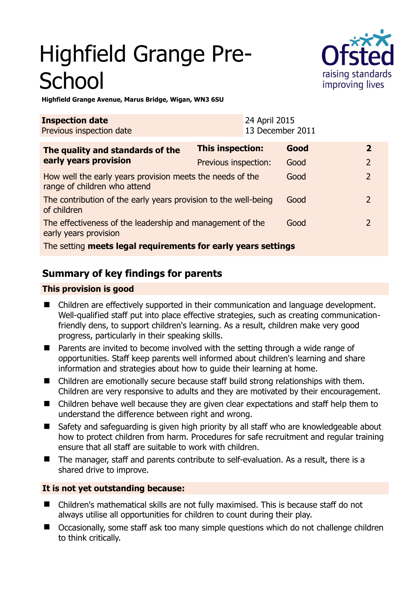# Highfield Grange Pre-**School**



**Highfield Grange Avenue, Marus Bridge, Wigan, WN3 6SU** 

| <b>Inspection date</b><br>Previous inspection date                                        |                      | 24 April 2015<br>13 December 2011 |      |                |
|-------------------------------------------------------------------------------------------|----------------------|-----------------------------------|------|----------------|
| The quality and standards of the<br>early years provision                                 | This inspection:     |                                   | Good | $\mathbf{2}$   |
|                                                                                           | Previous inspection: |                                   | Good | $\overline{2}$ |
| How well the early years provision meets the needs of the<br>range of children who attend |                      |                                   | Good | $\overline{2}$ |
| The contribution of the early years provision to the well-being<br>of children            |                      |                                   | Good | $\mathcal{P}$  |
| The effectiveness of the leadership and management of the<br>early years provision        |                      |                                   | Good | $\mathcal{P}$  |
| The setting meets legal requirements for early years settings                             |                      |                                   |      |                |

# **Summary of key findings for parents**

# **This provision is good**

- Children are effectively supported in their communication and language development. Well-qualified staff put into place effective strategies, such as creating communicationfriendly dens, to support children's learning. As a result, children make very good progress, particularly in their speaking skills.
- Parents are invited to become involved with the setting through a wide range of opportunities. Staff keep parents well informed about children's learning and share information and strategies about how to guide their learning at home.
- Children are emotionally secure because staff build strong relationships with them. Children are very responsive to adults and they are motivated by their encouragement.
- Children behave well because they are given clear expectations and staff help them to understand the difference between right and wrong.
- Safety and safeguarding is given high priority by all staff who are knowledgeable about how to protect children from harm. Procedures for safe recruitment and regular training ensure that all staff are suitable to work with children.
- The manager, staff and parents contribute to self-evaluation. As a result, there is a shared drive to improve.

# **It is not yet outstanding because:**

- Children's mathematical skills are not fully maximised. This is because staff do not always utilise all opportunities for children to count during their play.
- Occasionally, some staff ask too many simple questions which do not challenge children to think critically.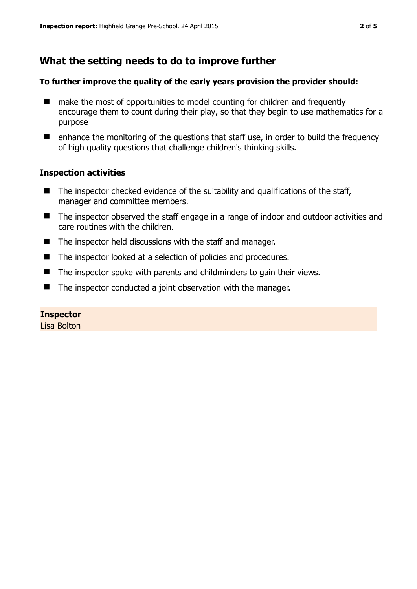# **What the setting needs to do to improve further**

#### **To further improve the quality of the early years provision the provider should:**

- make the most of opportunities to model counting for children and frequently encourage them to count during their play, so that they begin to use mathematics for a purpose
- $\blacksquare$  enhance the monitoring of the questions that staff use, in order to build the frequency of high quality questions that challenge children's thinking skills.

## **Inspection activities**

- $\blacksquare$  The inspector checked evidence of the suitability and qualifications of the staff, manager and committee members.
- The inspector observed the staff engage in a range of indoor and outdoor activities and care routines with the children.
- The inspector held discussions with the staff and manager.
- The inspector looked at a selection of policies and procedures.
- $\blacksquare$  The inspector spoke with parents and childminders to gain their views.
- The inspector conducted a joint observation with the manager.

#### **Inspector**

Lisa Bolton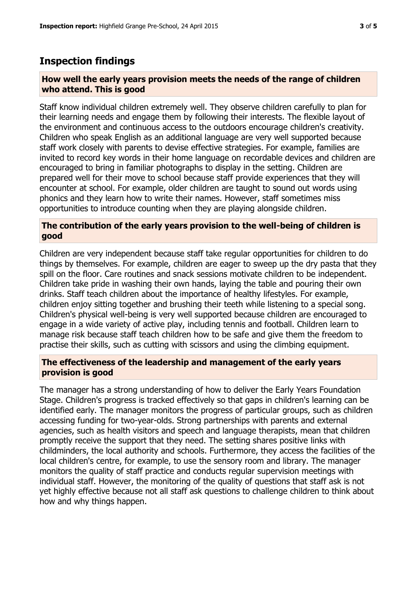# **Inspection findings**

## **How well the early years provision meets the needs of the range of children who attend. This is good**

Staff know individual children extremely well. They observe children carefully to plan for their learning needs and engage them by following their interests. The flexible layout of the environment and continuous access to the outdoors encourage children's creativity. Children who speak English as an additional language are very well supported because staff work closely with parents to devise effective strategies. For example, families are invited to record key words in their home language on recordable devices and children are encouraged to bring in familiar photographs to display in the setting. Children are prepared well for their move to school because staff provide experiences that they will encounter at school. For example, older children are taught to sound out words using phonics and they learn how to write their names. However, staff sometimes miss opportunities to introduce counting when they are playing alongside children.

## **The contribution of the early years provision to the well-being of children is good**

Children are very independent because staff take regular opportunities for children to do things by themselves. For example, children are eager to sweep up the dry pasta that they spill on the floor. Care routines and snack sessions motivate children to be independent. Children take pride in washing their own hands, laying the table and pouring their own drinks. Staff teach children about the importance of healthy lifestyles. For example, children enjoy sitting together and brushing their teeth while listening to a special song. Children's physical well-being is very well supported because children are encouraged to engage in a wide variety of active play, including tennis and football. Children learn to manage risk because staff teach children how to be safe and give them the freedom to practise their skills, such as cutting with scissors and using the climbing equipment.

## **The effectiveness of the leadership and management of the early years provision is good**

The manager has a strong understanding of how to deliver the Early Years Foundation Stage. Children's progress is tracked effectively so that gaps in children's learning can be identified early. The manager monitors the progress of particular groups, such as children accessing funding for two-year-olds. Strong partnerships with parents and external agencies, such as health visitors and speech and language therapists, mean that children promptly receive the support that they need. The setting shares positive links with childminders, the local authority and schools. Furthermore, they access the facilities of the local children's centre, for example, to use the sensory room and library. The manager monitors the quality of staff practice and conducts regular supervision meetings with individual staff. However, the monitoring of the quality of questions that staff ask is not yet highly effective because not all staff ask questions to challenge children to think about how and why things happen.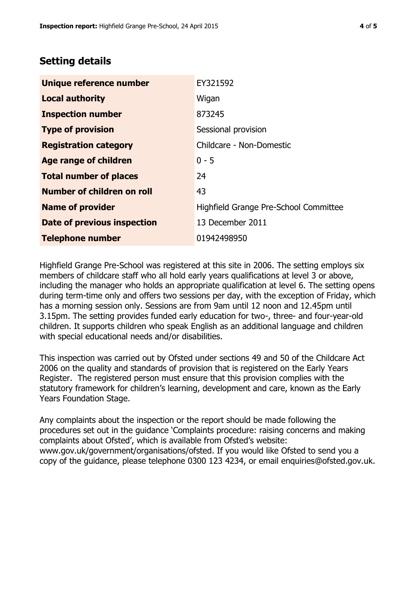# **Setting details**

| Unique reference number       | EY321592                              |  |
|-------------------------------|---------------------------------------|--|
| <b>Local authority</b>        | Wigan                                 |  |
| <b>Inspection number</b>      | 873245                                |  |
| <b>Type of provision</b>      | Sessional provision                   |  |
| <b>Registration category</b>  | Childcare - Non-Domestic              |  |
| Age range of children         | $0 - 5$                               |  |
| <b>Total number of places</b> | 24                                    |  |
| Number of children on roll    | 43                                    |  |
| <b>Name of provider</b>       | Highfield Grange Pre-School Committee |  |
| Date of previous inspection   | 13 December 2011                      |  |
| <b>Telephone number</b>       | 01942498950                           |  |

Highfield Grange Pre-School was registered at this site in 2006. The setting employs six members of childcare staff who all hold early years qualifications at level 3 or above, including the manager who holds an appropriate qualification at level 6. The setting opens during term-time only and offers two sessions per day, with the exception of Friday, which has a morning session only. Sessions are from 9am until 12 noon and 12.45pm until 3.15pm. The setting provides funded early education for two-, three- and four-year-old children. It supports children who speak English as an additional language and children with special educational needs and/or disabilities.

This inspection was carried out by Ofsted under sections 49 and 50 of the Childcare Act 2006 on the quality and standards of provision that is registered on the Early Years Register. The registered person must ensure that this provision complies with the statutory framework for children's learning, development and care, known as the Early Years Foundation Stage.

Any complaints about the inspection or the report should be made following the procedures set out in the guidance 'Complaints procedure: raising concerns and making complaints about Ofsted', which is available from Ofsted's website: www.gov.uk/government/organisations/ofsted. If you would like Ofsted to send you a copy of the guidance, please telephone 0300 123 4234, or email enquiries@ofsted.gov.uk.